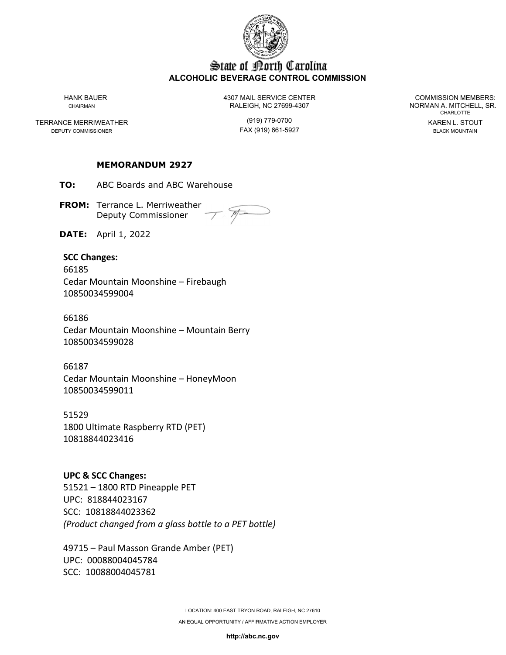

### State of Borth Carolina **ALCOHOLIC BEVERAGE CONTROL COMMISSION**

TERRANCE MERRIWEATHER (919) 779-0700 KAREN L. STOUT DEPUTY COMMISSIONER

HANK BAUER 4307 MAIL SERVICE CENTER COMMISSION MEMBERS: CHAIRMAN CHAIRMAN RALEIGH, NC 27699-4307 NORMAN A. MITCHELL, SR.

**CHARLOTTE** 

### **MEMORANDUM 2927**

**TO:** ABC Boards and ABC Warehouse

**FROM:** Terrance L. Merriweather Deputy Commissioner

**DATE:** April 1, 2022

#### **SCC Changes:**

66185 Cedar Mountain Moonshine – Firebaugh 10850034599004

66186 Cedar Mountain Moonshine – Mountain Berry 10850034599028

66187 Cedar Mountain Moonshine – HoneyMoon 10850034599011

51529 1800 Ultimate Raspberry RTD (PET) 10818844023416

**UPC & SCC Changes:** 51521 – 1800 RTD Pineapple PET UPC: 818844023167 SCC: 10818844023362 *(Product changed from a glass bottle to a PET bottle)*

49715 – Paul Masson Grande Amber (PET) UPC: 00088004045784 SCC: 10088004045781

**http://abc.nc.gov**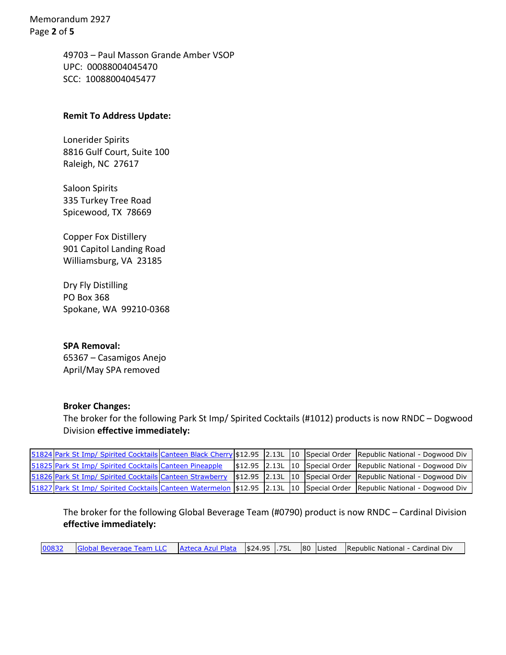Memorandum 2927 Page **2** of **5**

> 49703 – Paul Masson Grande Amber VSOP UPC: 00088004045470 SCC: 10088004045477

### **Remit To Address Update:**

Lonerider Spirits 8816 Gulf Court, Suite 100 Raleigh, NC 27617

Saloon Spirits 335 Turkey Tree Road Spicewood, TX 78669

Copper Fox Distillery 901 Capitol Landing Road Williamsburg, VA 23185

Dry Fly Distilling PO Box 368 Spokane, WA 99210-0368

**SPA Removal:** 65367 – Casamigos Anejo April/May SPA removed

#### **Broker Changes:**

The broker for the following Park St Imp/ Spirited Cocktails (#1012) products is now RNDC – Dogwood Division **effective immediately:**

|  |  |  |  | 51824 Park St Imp/ Spirited Cocktails Canteen Black Cherry \$12.95 2.13L 10 Special Order Republic National - Dogwood Div    |
|--|--|--|--|------------------------------------------------------------------------------------------------------------------------------|
|  |  |  |  | 51825 Park St Imp/ Spirited Cocktails Canteen Pineapple   \$12.95 2.13L 10   Special Order   Republic National - Dogwood Div |
|  |  |  |  | 51826 Park St Imp/ Spirited Cocktails Canteen Strawberry \$12.95 2.13L 10 Special Order Republic National - Dogwood Div      |
|  |  |  |  | 51827 Park St Imp/ Spirited Cocktails Canteen Watermelon \$12.95 2.13L 10 Special Order Republic National - Dogwood Div      |

The broker for the following Global Beverage Team (#0790) product is now RNDC – Cardinal Division **effective immediately:**

[00832](https://pricing.abc.nc.gov/item/item.aspx?action=filing&filing=128418&item=18955) [Global Beverage Team LLC](https://pricing.abc.nc.gov/biz_whiz/business_form.aspx?parent=item&BID=1104) [Azteca Azul Plata](https://pricing.abc.nc.gov/item/item.aspx?action=filing&filing=128418&item=18955) \$24.95 .75L 80 Listed Republic National - Cardinal Div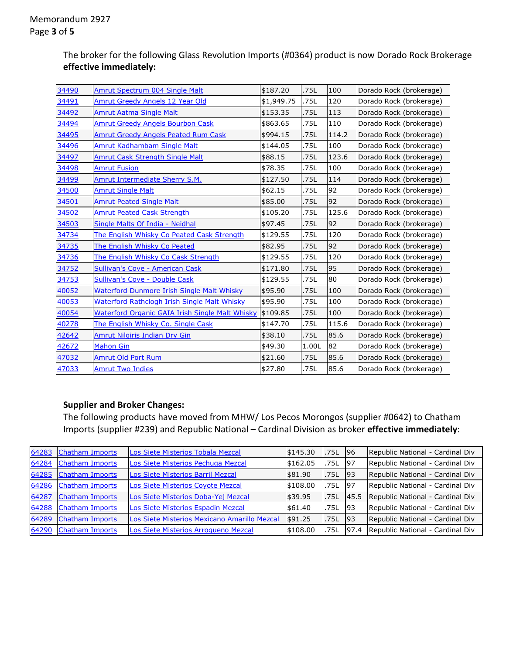The broker for the following Glass Revolution Imports (#0364) product is now Dorado Rock Brokerage **effective immediately:**

| 34490 | Amrut Spectrum 004 Single Malt                         | \$187.20   | .75L  | 100   | Dorado Rock (brokerage) |
|-------|--------------------------------------------------------|------------|-------|-------|-------------------------|
| 34491 | Amrut Greedy Angels 12 Year Old                        | \$1,949.75 | .75L  | 120   | Dorado Rock (brokerage) |
| 34492 | <b>Amrut Aatma Single Malt</b>                         | \$153.35   | .75L  | 113   | Dorado Rock (brokerage) |
| 34494 | <b>Amrut Greedy Angels Bourbon Cask</b>                | \$863.65   | .75L  | 110   | Dorado Rock (brokerage) |
| 34495 | <b>Amrut Greedy Angels Peated Rum Cask</b>             | \$994.15   | .75L  | 114.2 | Dorado Rock (brokerage) |
| 34496 | <b>Amrut Kadhambam Single Malt</b>                     | \$144.05   | .75L  | 100   | Dorado Rock (brokerage) |
| 34497 | <b>Amrut Cask Strength Single Malt</b>                 | \$88.15    | .75L  | 123.6 | Dorado Rock (brokerage) |
| 34498 | <b>Amrut Fusion</b>                                    | \$78.35    | .75L  | 100   | Dorado Rock (brokerage) |
| 34499 | Amrut Intermediate Sherry S.M.                         | \$127.50   | .75L  | 114   | Dorado Rock (brokerage) |
| 34500 | <b>Amrut Single Malt</b>                               | \$62.15    | .75L  | 92    | Dorado Rock (brokerage) |
| 34501 | <b>Amrut Peated Single Malt</b>                        | \$85.00    | .75L  | 92    | Dorado Rock (brokerage) |
| 34502 | <b>Amrut Peated Cask Strength</b>                      | \$105.20   | .75L  | 125.6 | Dorado Rock (brokerage) |
| 34503 | Single Malts Of India - Neidhal                        | \$97.45    | .75L  | 92    | Dorado Rock (brokerage) |
| 34734 | The English Whisky Co Peated Cask Strength             | \$129.55   | .75L  | 120   | Dorado Rock (brokerage) |
| 34735 | The English Whisky Co Peated                           | \$82.95    | .75L  | 92    | Dorado Rock (brokerage) |
| 34736 | The English Whisky Co Cask Strength                    | \$129.55   | .75L  | 120   | Dorado Rock (brokerage) |
| 34752 | <b>Sullivan's Cove - American Cask</b>                 | \$171.80   | .75L  | 95    | Dorado Rock (brokerage) |
| 34753 | Sullivan's Cove - Double Cask                          | \$129.55   | .75L  | 80    | Dorado Rock (brokerage) |
| 40052 | Waterford Dunmore Irish Single Malt Whisky             | \$95.90    | .75L  | 100   | Dorado Rock (brokerage) |
| 40053 | Waterford Rathclogh Irish Single Malt Whisky           | \$95.90    | .75L  | 100   | Dorado Rock (brokerage) |
| 40054 | <b>Waterford Organic GAIA Irish Single Malt Whisky</b> | \$109.85   | .75L  | 100   | Dorado Rock (brokerage) |
| 40278 | The English Whisky Co. Single Cask                     | \$147.70   | .75L  | 115.6 | Dorado Rock (brokerage) |
| 42642 | <b>Amrut Nilgiris Indian Dry Gin</b>                   | \$38.10    | .75L  | 85.6  | Dorado Rock (brokerage) |
| 42672 | <b>Mahon Gin</b>                                       | \$49.30    | 1.00L | 82    | Dorado Rock (brokerage) |
| 47032 | <b>Amrut Old Port Rum</b>                              | \$21.60    | .75L  | 85.6  | Dorado Rock (brokerage) |
| 47033 | <b>Amrut Two Indies</b>                                | \$27.80    | .75L  | 85.6  | Dorado Rock (brokerage) |

## **Supplier and Broker Changes:**

The following products have moved from MHW/ Los Pecos Morongos (supplier #0642) to Chatham Imports (supplier #239) and Republic National – Cardinal Division as broker **effective immediately**:

| 64283 | Chatham Imports        | Los Siete Misterios Tobala Mezcal            | \$145.30 | .75L | 96   | Republic National - Cardinal Div |
|-------|------------------------|----------------------------------------------|----------|------|------|----------------------------------|
| 64284 | <b>Chatham Imports</b> | Los Siete Misterios Pechuga Mezcal           | \$162.05 | .75L | -97  | Republic National - Cardinal Div |
| 64285 | Chatham Imports        | Los Siete Misterios Barril Mezcal            | \$81.90  | .75L | 93   | Republic National - Cardinal Div |
| 64286 | <b>Chatham Imports</b> | Los Siete Misterios Coyote Mezcal            | \$108.00 | .75L | -97  | Republic National - Cardinal Div |
| 64287 | <b>Chatham Imports</b> | Los Siete Misterios Doba-Yej Mezcal          | \$39.95  | .75L | 45.5 | Republic National - Cardinal Div |
| 64288 | <b>Chatham Imports</b> | Los Siete Misterios Espadin Mezcal           | \$61.40  | .75L | 93   | Republic National - Cardinal Div |
| 64289 | Chatham Imports        | Los Siete Misterios Mexicano Amarillo Mezcal | \$91.25  | .75L | 93   | Republic National - Cardinal Div |
| 64290 | Chatham Imports        | Los Siete Misterios Arroqueno Mezcal         | \$108.00 | .75L | 97.4 | Republic National - Cardinal Div |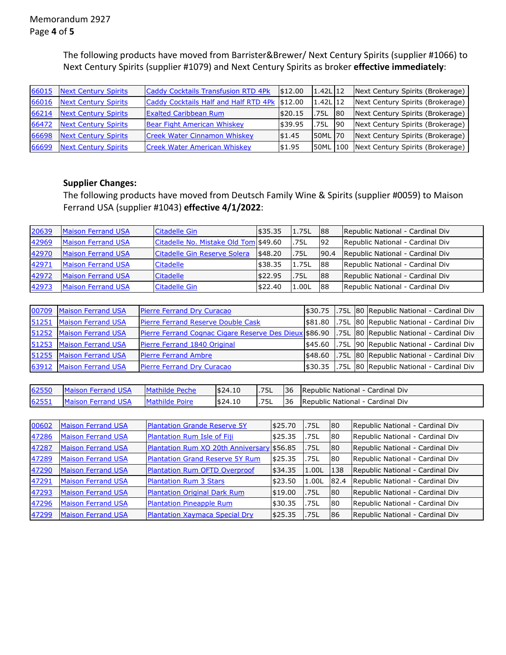The following products have moved from Barrister&Brewer/ Next Century Spirits (supplier #1066) to Next Century Spirits (supplier #1079) and Next Century Spirits as broker **effective immediately**:

| 66015 | <b>Next Century Spirits</b> | Caddy Cocktails Transfusion RTD 4Pk           | \$12.00 | $1.42L$ 12    |           | Next Century Spirits (Brokerage)          |
|-------|-----------------------------|-----------------------------------------------|---------|---------------|-----------|-------------------------------------------|
| 66016 | <b>Next Century Spirits</b> | Caddy Cocktails Half and Half RTD 4Pk \$12.00 |         | $1.42$ L $12$ |           | Next Century Spirits (Brokerage)          |
| 66214 | Next Century Spirits        | <b>Exalted Caribbean Rum</b>                  | \$20.15 | .75L          | <b>80</b> | Next Century Spirits (Brokerage)          |
| 66472 | <b>Next Century Spirits</b> | <b>Bear Fight American Whiskey</b>            | \$39.95 | .75L          | -90       | Next Century Spirits (Brokerage)          |
| 66698 | Next Century Spirits        | <b>Creek Water Cinnamon Whiskey</b>           | \$1.45  | 50ML 70       |           | Next Century Spirits (Brokerage)          |
| 66699 | <b>Next Century Spirits</b> | <b>Creek Water American Whiskey</b>           | \$1.95  |               |           | 50ML 100 Next Century Spirits (Brokerage) |

## **Supplier Changes:**

The following products have moved from Deutsch Family Wine & Spirits (supplier #0059) to Maison Ferrand USA (supplier #1043) **effective 4/1/2022**:

| 20639 | <b>Maison Ferrand USA</b> | Citadelle Gin                         | \$35.35 | 1.75L | 88   | Republic National - Cardinal Div |
|-------|---------------------------|---------------------------------------|---------|-------|------|----------------------------------|
| 42969 | <b>Maison Ferrand USA</b> | Citadelle No. Mistake Old Tom \$49.60 |         | .75L  | 92   | Republic National - Cardinal Div |
| 42970 | <b>Maison Ferrand USA</b> | Citadelle Gin Reserve Solera          | \$48.20 | .75L  | 90.4 | Republic National - Cardinal Div |
| 42971 | <b>Maison Ferrand USA</b> | <b>Citadelle</b>                      | \$38.35 | 1.75L | 88   | Republic National - Cardinal Div |
| 42972 | <b>Maison Ferrand USA</b> | <b>Citadelle</b>                      | \$22.95 | .75L  | 188  | Republic National - Cardinal Div |
| 42973 | <b>Maison Ferrand USA</b> | Citadelle Gin                         | \$22.40 | 1.00L | 88   | Republic National - Cardinal Div |

|       | 00709 Maison Ferrand USA  | Pierre Ferrand Dry Curacao                                                                      |               |  | \$30.75 .75L 80 Republic National - Cardinal Div |
|-------|---------------------------|-------------------------------------------------------------------------------------------------|---------------|--|--------------------------------------------------|
|       | 51251 Maison Ferrand USA  | Pierre Ferrand Reserve Double Cask                                                              | \$81.80       |  | .75L 80 Republic National - Cardinal Div         |
| 51252 | <b>Maison Ferrand USA</b> | Pierre Ferrand Cognac Cigare Reserve Des Dieux \$86.90 .75L 80 Republic National - Cardinal Div |               |  |                                                  |
|       | 51253 Maison Ferrand USA  | Pierre Ferrand 1840 Original                                                                    | \$45.60       |  | .75L 90 Republic National - Cardinal Div         |
|       | 51255 Maison Ferrand USA  | <b>Pierre Ferrand Ambre</b>                                                                     | \$48.60       |  | .75L 80 Republic National - Cardinal Div         |
|       | 63912 Maison Ferrand USA  | Pierre Ferrand Dry Curacao                                                                      | <b>S30.35</b> |  | .75L 80 Republic National - Cardinal Div         |

| 62550 | <b>Maison Ferrand USA</b> | Mathilde Peche | \$24.10 | .75L | 136 Republic National - Cardinal Div |
|-------|---------------------------|----------------|---------|------|--------------------------------------|
| 62551 | Maison Ferrand USA        | Mathilde Poire | \$24.10 | .75L | 136 Republic National - Cardinal Div |

| 00602 | <b>Maison Ferrand USA</b> | <b>Plantation Grande Reserve 5Y</b>        | \$25.70 | .75L  | 80        | Republic National - Cardinal Div |
|-------|---------------------------|--------------------------------------------|---------|-------|-----------|----------------------------------|
| 47286 | <b>Maison Ferrand USA</b> | Plantation Rum Isle of Fiji                | \$25.35 | .75L  | 80        | Republic National - Cardinal Div |
| 47287 | <b>Maison Ferrand USA</b> | Plantation Rum XO 20th Anniversary \$56.85 |         | .75L  | 80        | Republic National - Cardinal Div |
| 47289 | <b>Maison Ferrand USA</b> | <b>Plantation Grand Reserve 5Y Rum</b>     | \$25.35 | .75L  | 80        | Republic National - Cardinal Div |
| 47290 | <b>Maison Ferrand USA</b> | <b>Plantation Rum OFTD Overproof</b>       | \$34.35 | 1.00L | 138       | Republic National - Cardinal Div |
| 47291 | <b>Maison Ferrand USA</b> | <b>Plantation Rum 3 Stars</b>              | \$23.50 | 1.00L | 82.4      | Republic National - Cardinal Div |
| 47293 | <b>Maison Ferrand USA</b> | <b>Plantation Original Dark Rum</b>        | \$19.00 | .75L  | 80        | Republic National - Cardinal Div |
| 47296 | <b>Maison Ferrand USA</b> | <b>Plantation Pineapple Rum</b>            | \$30.35 | .75L  | <b>80</b> | Republic National - Cardinal Div |
| 47299 | <b>Maison Ferrand USA</b> | <b>Plantation Xaymaca Special Dry</b>      | \$25.35 | .75L  | 86        | Republic National - Cardinal Div |